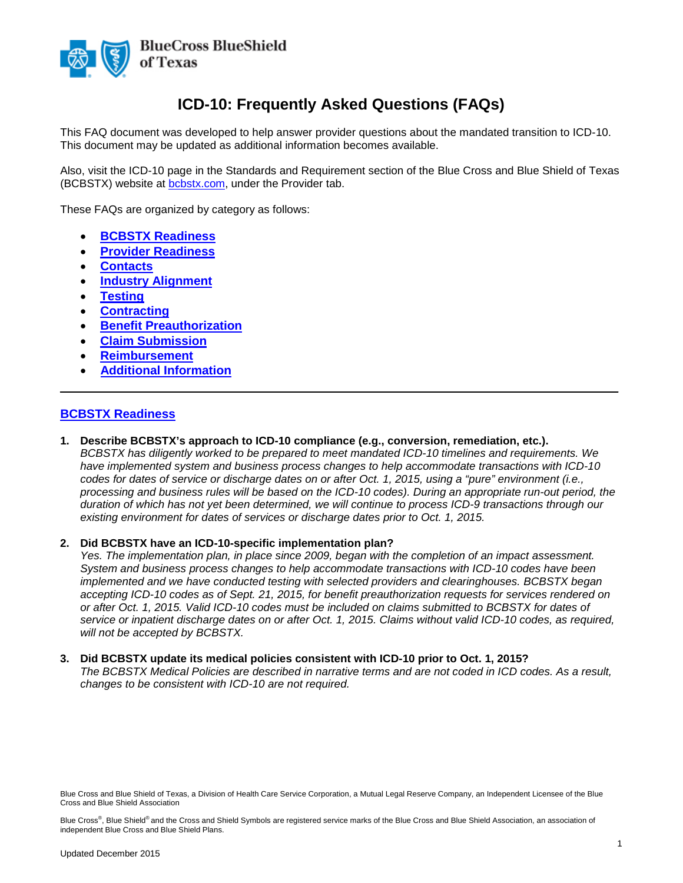

# **ICD-10: Frequently Asked Questions (FAQs)**

This FAQ document was developed to help answer provider questions about the mandated transition to ICD-10. This document may be updated as additional information becomes available.

Also, visit the ICD-10 page in the Standards and Requirement section of the Blue Cross and Blue Shield of Texas (BCBSTX) website at **bcbstx.com**, under the Provider tab.

These FAQs are organized by category as follows:

- **BCBSTX [Readiness](#page-0-0)**
- **[Provider Readiness](#page-1-0)**
- **[Contacts](#page-2-0)**
- **[Industry Alignment](#page-2-1)**
- **[Testing](#page-3-0)**
- **[Contracting](#page-4-0)**
- **[Benefit Preauthorization](#page-4-1)**
- **[Claim Submission](#page-5-0)**
- **[Reimbursement](#page-7-0)**
- **[Additional Information](#page-8-0)**

# <span id="page-0-0"></span>**BCBSTX Readiness**

**1. Describe BCBSTX's approach to ICD-10 compliance (e.g., conversion, remediation, etc.).** *BCBSTX has diligently worked to be prepared to meet mandated ICD-10 timelines and requirements. We have implemented system and business process changes to help accommodate transactions with ICD-10 codes for dates of service or discharge dates on or after Oct. 1, 2015, using a "pure" environment (i.e., processing and business rules will be based on the ICD-10 codes). During an appropriate run-out period, the duration of which has not yet been determined, we will continue to process ICD-9 transactions through our existing environment for dates of services or discharge dates prior to Oct. 1, 2015.*

 $\overline{\phantom{a}}$  , and the contribution of the contribution of the contribution of the contribution of the contribution of the contribution of the contribution of the contribution of the contribution of the contribution of the

#### **2. Did BCBSTX have an ICD-10-specific implementation plan?**

*Yes. The implementation plan, in place since 2009, began with the completion of an impact assessment. System and business process changes to help accommodate transactions with ICD-10 codes have been implemented and we have conducted testing with selected providers and clearinghouses. BCBSTX began accepting ICD-10 codes as of Sept. 21, 2015, for benefit preauthorization requests for services rendered on or after Oct. 1, 2015. Valid ICD-10 codes must be included on claims submitted to BCBSTX for dates of service or inpatient discharge dates on or after Oct. 1, 2015. Claims without valid ICD-10 codes, as required, will not be accepted by BCBSTX.*

#### **3. Did BCBSTX update its medical policies consistent with ICD-10 prior to Oct. 1, 2015?**

*The BCBSTX Medical Policies are described in narrative terms and are not coded in ICD codes. As a result, changes to be consistent with ICD-10 are not required.*

Blue Cross and Blue Shield of Texas, a Division of Health Care Service Corporation, a Mutual Legal Reserve Company, an Independent Licensee of the Blue Cross and Blue Shield Association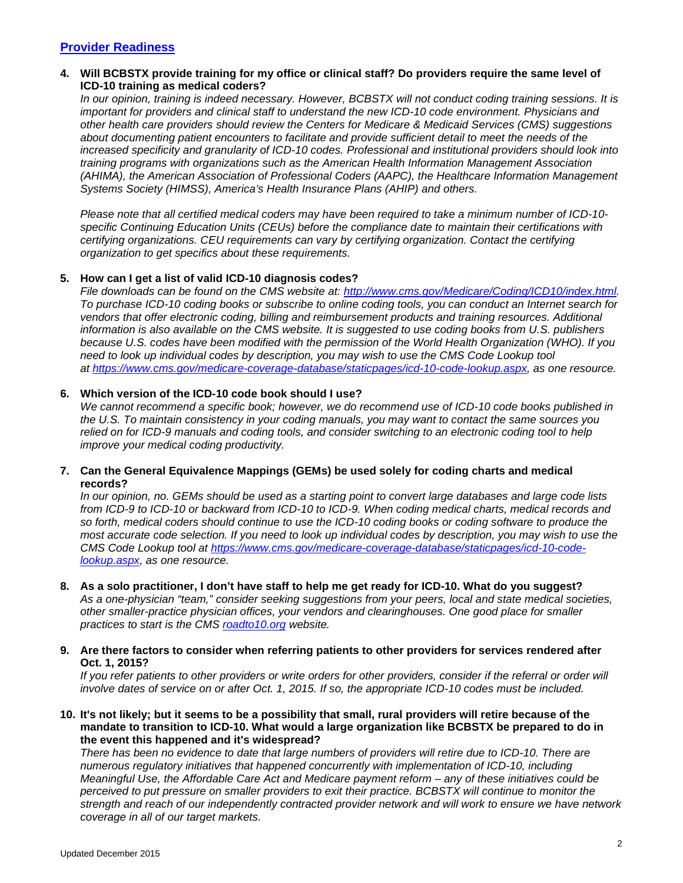# <span id="page-1-0"></span>**Provider Readiness**

# **4. Will BCBSTX provide training for my office or clinical staff? Do providers require the same level of ICD-10 training as medical coders?**

*In our opinion, training is indeed necessary. However, BCBSTX will not conduct coding training sessions. It is important for providers and clinical staff to understand the new ICD-10 code environment. Physicians and other health care providers should review the Centers for Medicare & Medicaid Services (CMS) suggestions about documenting patient encounters to facilitate and provide sufficient detail to meet the needs of the increased specificity and granularity of ICD-10 codes. Professional and institutional providers should look into training programs with organizations such as the American Health Information Management Association (AHIMA), the American Association of Professional Coders (AAPC), the Healthcare Information Management Systems Society (HIMSS), America's Health Insurance Plans (AHIP) and others.*

*Please note that all certified medical coders may have been required to take a minimum number of ICD-10 specific Continuing Education Units (CEUs) before the compliance date to maintain their certifications with certifying organizations. CEU requirements can vary by certifying organization. Contact the certifying organization to get specifics about these requirements.*

# **5. How can I get a list of valid ICD-10 diagnosis codes?**

*File downloads can be found on the CMS website at: [http://www.cms.gov/Medicare/Coding/ICD10/index.html.](http://www.cms.gov/Medicare/Coding/ICD10/index.html) To purchase ICD-10 coding books or subscribe to online coding tools, you can conduct an Internet search for vendors that offer electronic coding, billing and reimbursement products and training resources. Additional information is also available on the CMS website. It is suggested to use coding books from U.S. publishers because U.S. codes have been modified with the permission of the World Health Organization (WHO). If you need to look up individual codes by description, you may wish to use the CMS Code Lookup tool at [https://www.cms.gov/medicare-coverage-database/staticpages/icd-10-code-lookup.aspx,](https://www.cms.gov/medicare-coverage-database/staticpages/icd-10-code-lookup.aspx) as one resource.*

# **6. Which version of the ICD-10 code book should I use?**

*We cannot recommend a specific book; however, we do recommend use of ICD-10 code books published in the U.S. To maintain consistency in your coding manuals, you may want to contact the same sources you relied on for ICD-9 manuals and coding tools, and consider switching to an electronic coding tool to help improve your medical coding productivity.*

### **7. Can the General Equivalence Mappings (GEMs) be used solely for coding charts and medical records?**

*In our opinion, no. GEMs should be used as a starting point to convert large databases and large code lists from ICD-9 to ICD-10 or backward from ICD-10 to ICD-9. When coding medical charts, medical records and so forth, medical coders should continue to use the ICD-10 coding books or coding software to produce the most accurate code selection. If you need to look up individual codes by description, you may wish to use the CMS Code Lookup tool at [https://www.cms.gov/medicare-coverage-database/staticpages/icd-10-code](https://www.cms.gov/medicare-coverage-database/staticpages/icd-10-code-lookup.aspx)[lookup.aspx,](https://www.cms.gov/medicare-coverage-database/staticpages/icd-10-code-lookup.aspx) as one resource.*

### **8. As a solo practitioner, I don't have staff to help me get ready for ICD-10. What do you suggest?**

*As a one-physician "team," consider seeking suggestions from your peers, local and state medical societies, other smaller-practice physician offices, your vendors and clearinghouses. One good place for smaller practices to start is the CMS [roadto10.org](http://www.roadto10.org/) website.*

### **9. Are there factors to consider when referring patients to other providers for services rendered after Oct. 1, 2015?**

*If you refer patients to other providers or write orders for other providers, consider if the referral or order will involve dates of service on or after Oct. 1, 2015. If so, the appropriate ICD-10 codes must be included.* 

### **10. It's not likely; but it seems to be a possibility that small, rural providers will retire because of the mandate to transition to ICD-10. What would a large organization like BCBSTX be prepared to do in the event this happened and it's widespread?**

*There has been no evidence to date that large numbers of providers will retire due to ICD-10. There are numerous regulatory initiatives that happened concurrently with implementation of ICD-10, including Meaningful Use, the Affordable Care Act and Medicare payment reform – any of these initiatives could be perceived to put pressure on smaller providers to exit their practice. BCBSTX will continue to monitor the strength and reach of our independently contracted provider network and will work to ensure we have network coverage in all of our target markets.*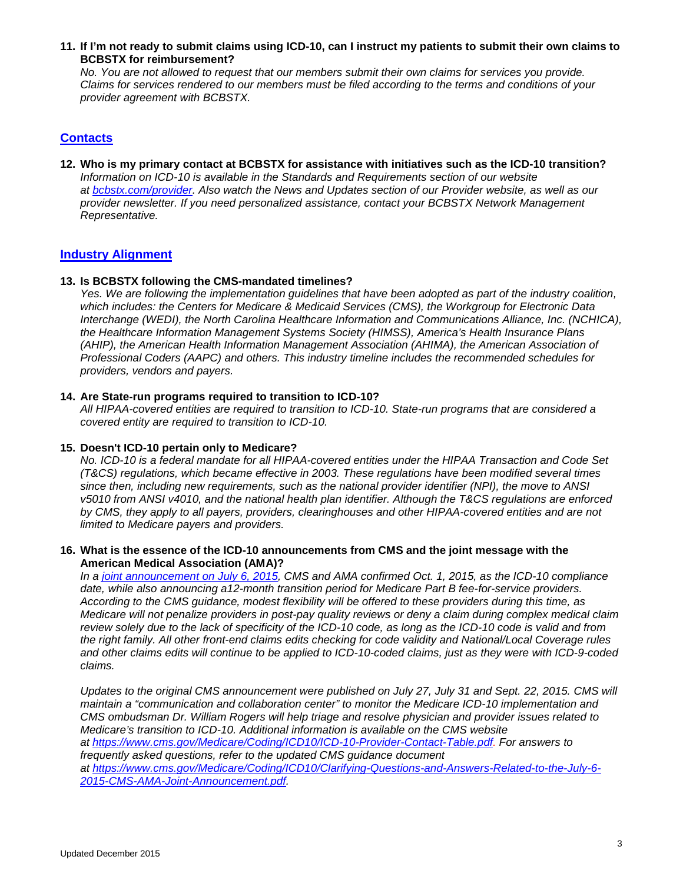**11. If I'm not ready to submit claims using ICD-10, can I instruct my patients to submit their own claims to BCBSTX for reimbursement?**

*No. You are not allowed to request that our members submit their own claims for services you provide. Claims for services rendered to our members must be filed according to the terms and conditions of your provider agreement with BCBSTX.* 

# <span id="page-2-0"></span>**Contacts**

**12. Who is my primary contact at BCBSTX for assistance with initiatives such as the ICD-10 transition?** *Information on ICD-10 is available in the Standards and Requirements section of our website at [bcbstx.com/provider.](http://www.bcbstx.com/provider/) Also watch the News and Updates section of our Provider website, as well as our provider newsletter. If you need personalized assistance, contact your BCBSTX Network Management Representative.*

### <span id="page-2-1"></span>**Industry Alignment**

### **13. Is BCBSTX following the CMS-mandated timelines?**

*Yes. We are following the implementation guidelines that have been adopted as part of the industry coalition, which includes: the Centers for Medicare & Medicaid Services (CMS), the Workgroup for Electronic Data Interchange (WEDI), the North Carolina Healthcare Information and Communications Alliance, Inc. (NCHICA), the Healthcare Information Management Systems Society (HIMSS), America's Health Insurance Plans (AHIP), the American Health Information Management Association (AHIMA), the American Association of Professional Coders (AAPC) and others. This industry timeline includes the recommended schedules for providers, vendors and payers.*

### **14. Are State-run programs required to transition to ICD-10?**

*All HIPAA-covered entities are required to transition to ICD-10. State-run programs that are considered a covered entity are required to transition to ICD-10.*

### **15. Doesn't ICD-10 pertain only to Medicare?**

*No. ICD-10 is a federal mandate for all HIPAA-covered entities under the HIPAA Transaction and Code Set (T&CS) regulations, which became effective in 2003. These regulations have been modified several times since then, including new requirements, such as the national provider identifier (NPI), the move to ANSI v5010 from ANSI v4010, and the national health plan identifier. Although the T&CS regulations are enforced by CMS, they apply to all payers, providers, clearinghouses and other HIPAA-covered entities and are not limited to Medicare payers and providers.*

### **16. What is the essence of the ICD-10 announcements from CMS and the joint message with the American Medical Association (AMA)?**

*In a [joint announcement on July 6, 2015,](https://www.cms.gov/Medicare/Coding/ICD10/Downloads/AMA-CMS-press-release-letterhead-07-05-15.pdf) CMS and AMA confirmed Oct. 1, 2015, as the ICD-10 compliance date, while also announcing a12-month transition period for Medicare Part B fee-for-service providers. According to the CMS guidance, modest flexibility will be offered to these providers during this time, as Medicare will not penalize providers in post-pay quality reviews or deny a claim during complex medical claim review solely due to the lack of specificity of the ICD-10 code, as long as the ICD-10 code is valid and from the right family. All other front-end claims edits checking for code validity and National/Local Coverage rules and other claims edits will continue to be applied to ICD-10-coded claims, just as they were with ICD-9-coded claims.* 

*Updates to the original CMS announcement were published on July 27, July 31 and Sept. 22, 2015. CMS will maintain a "communication and collaboration center" to monitor the Medicare ICD-10 implementation and CMS ombudsman Dr. William Rogers will help triage and resolve physician and provider issues related to Medicare's transition to ICD-10. Additional information is available on the CMS website at [https://www.cms.gov/Medicare/Coding/ICD10/ICD-10-Provider-Contact-Table.pdf.](https://www.cms.gov/Medicare/Coding/ICD10/ICD-10-Provider-Contact-Table.pdf) For answers to frequently asked questions, refer to the updated CMS guidance document at [https://www.cms.gov/Medicare/Coding/ICD10/Clarifying-Questions-and-Answers-Related-to-the-July-6-](https://www.cms.gov/Medicare/Coding/ICD10/Clarifying-Questions-and-Answers-Related-to-the-July-6-2015-CMS-AMA-Joint-Announcement.pdf) [2015-CMS-AMA-Joint-Announcement.pdf.](https://www.cms.gov/Medicare/Coding/ICD10/Clarifying-Questions-and-Answers-Related-to-the-July-6-2015-CMS-AMA-Joint-Announcement.pdf)*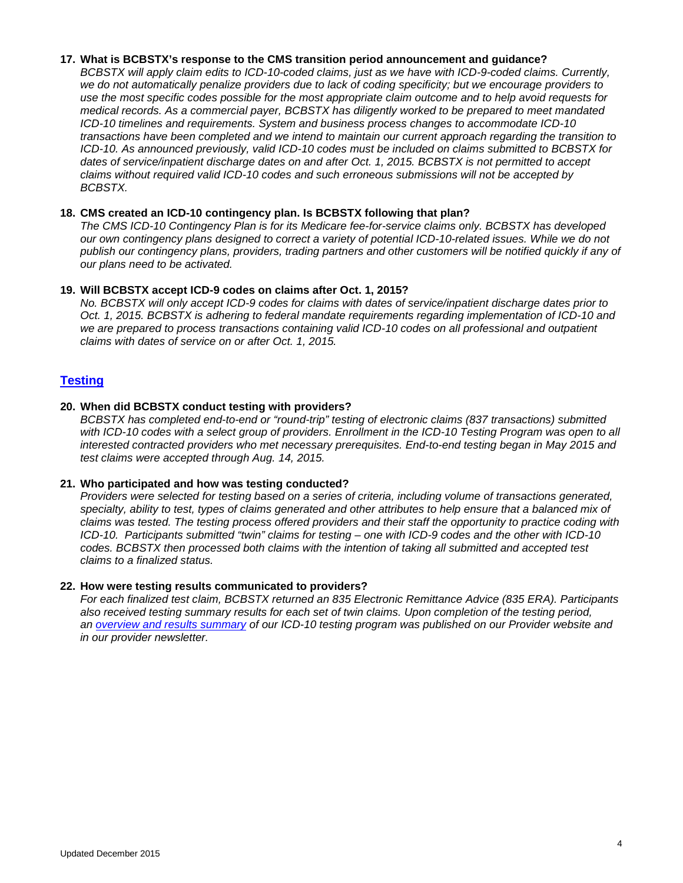### **17. What is BCBSTX's response to the CMS transition period announcement and guidance?**

*BCBSTX will apply claim edits to ICD-10-coded claims, just as we have with ICD-9-coded claims. Currently, we do not automatically penalize providers due to lack of coding specificity; but we encourage providers to use the most specific codes possible for the most appropriate claim outcome and to help avoid requests for medical records. As a commercial payer, BCBSTX has diligently worked to be prepared to meet mandated ICD-10 timelines and requirements. System and business process changes to accommodate ICD-10 transactions have been completed and we intend to maintain our current approach regarding the transition to ICD-10. As announced previously, valid ICD-10 codes must be included on claims submitted to BCBSTX for dates of service/inpatient discharge dates on and after Oct. 1, 2015. BCBSTX is not permitted to accept claims without required valid ICD-10 codes and such erroneous submissions will not be accepted by BCBSTX.* 

# **18. CMS created an ICD-10 contingency plan. Is BCBSTX following that plan?**

*The CMS ICD-10 Contingency Plan is for its Medicare fee-for-service claims only. BCBSTX has developed our own contingency plans designed to correct a variety of potential ICD-10-related issues. While we do not publish our contingency plans, providers, trading partners and other customers will be notified quickly if any of our plans need to be activated.* 

### **19. Will BCBSTX accept ICD-9 codes on claims after Oct. 1, 2015?**

*No. BCBSTX will only accept ICD-9 codes for claims with dates of service/inpatient discharge dates prior to Oct. 1, 2015. BCBSTX is adhering to federal mandate requirements regarding implementation of ICD-10 and we are prepared to process transactions containing valid ICD-10 codes on all professional and outpatient claims with dates of service on or after Oct. 1, 2015.*

# <span id="page-3-0"></span>**Testing**

### **20. When did BCBSTX conduct testing with providers?**

*BCBSTX has completed end-to-end or "round-trip" testing of electronic claims (837 transactions) submitted*  with ICD-10 codes with a select group of providers. Enrollment in the ICD-10 Testing Program was open to all *interested contracted providers who met necessary prerequisites. End-to-end testing began in May 2015 and test claims were accepted through Aug. 14, 2015.*

### **21. Who participated and how was testing conducted?**

*Providers were selected for testing based on a series of criteria, including volume of transactions generated, specialty, ability to test, types of claims generated and other attributes to help ensure that a balanced mix of claims was tested. The testing process offered providers and their staff the opportunity to practice coding with ICD-10. Participants submitted "twin" claims for testing – one with ICD-9 codes and the other with ICD-10 codes. BCBSTX then processed both claims with the intention of taking all submitted and accepted test claims to a finalized status.* 

#### **22. How were testing results communicated to providers?**

*For each finalized test claim, BCBSTX returned an 835 Electronic Remittance Advice (835 ERA). Participants also received testing summary results for each set of twin claims. Upon completion of the testing period, an [overview and results summary](http://www.bcbstx.com/provider/pdf/testing_results_summary_tx.pdf) of our ICD-10 testing program was published on our Provider website and in our provider newsletter.*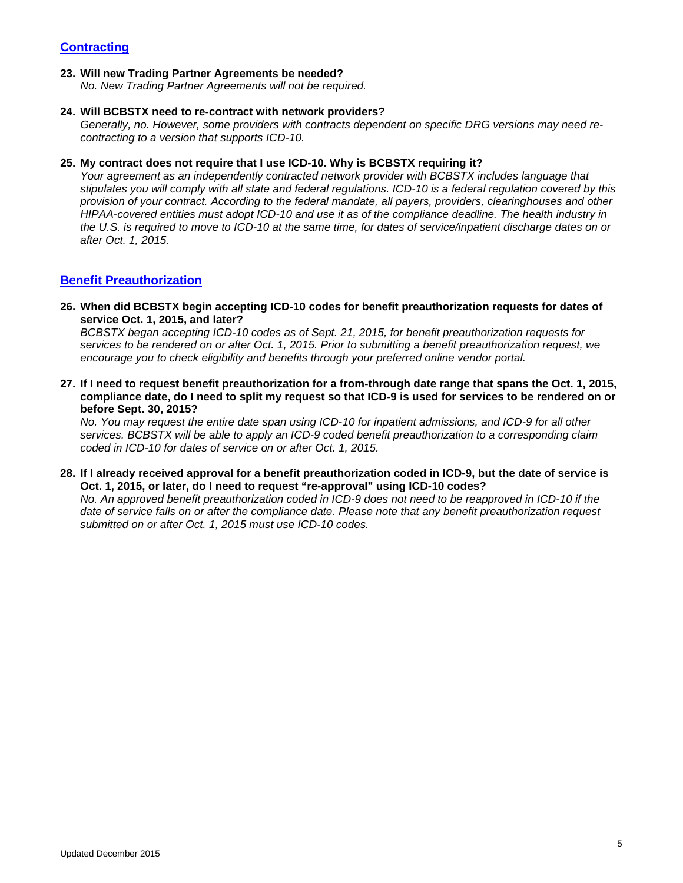# <span id="page-4-0"></span>**Contracting**

### **23. Will new Trading Partner Agreements be needed?**

*No. New Trading Partner Agreements will not be required.*

#### **24. Will BCBSTX need to re-contract with network providers?**

*Generally, no. However, some providers with contracts dependent on specific DRG versions may need recontracting to a version that supports ICD-10.*

### **25. My contract does not require that I use ICD-10. Why is BCBSTX requiring it?**

*Your agreement as an independently contracted network provider with BCBSTX includes language that stipulates you will comply with all state and federal regulations. ICD-10 is a federal regulation covered by this provision of your contract. According to the federal mandate, all payers, providers, clearinghouses and other HIPAA-covered entities must adopt ICD-10 and use it as of the compliance deadline. The health industry in the U.S. is required to move to ICD-10 at the same time, for dates of service/inpatient discharge dates on or after Oct. 1, 2015.*

# <span id="page-4-1"></span>**Benefit Preauthorization**

### **26. When did BCBSTX begin accepting ICD-10 codes for benefit preauthorization requests for dates of service Oct. 1, 2015, and later?**

*BCBSTX began accepting ICD-10 codes as of Sept. 21, 2015, for benefit preauthorization requests for services to be rendered on or after Oct. 1, 2015. Prior to submitting a benefit preauthorization request, we encourage you to check eligibility and benefits through your preferred online vendor portal.*

**27. If I need to request benefit preauthorization for a from-through date range that spans the Oct. 1, 2015, compliance date, do I need to split my request so that ICD-9 is used for services to be rendered on or before Sept. 30, 2015?**

*No. You may request the entire date span using ICD-10 for inpatient admissions, and ICD-9 for all other services. BCBSTX will be able to apply an ICD-9 coded benefit preauthorization to a corresponding claim coded in ICD-10 for dates of service on or after Oct. 1, 2015.*

**28. If I already received approval for a benefit preauthorization coded in ICD-9, but the date of service is Oct. 1, 2015, or later, do I need to request "re-approval" using ICD-10 codes?**

*No. An approved benefit preauthorization coded in ICD-9 does not need to be reapproved in ICD-10 if the date of service falls on or after the compliance date. Please note that any benefit preauthorization request submitted on or after Oct. 1, 2015 must use ICD-10 codes.*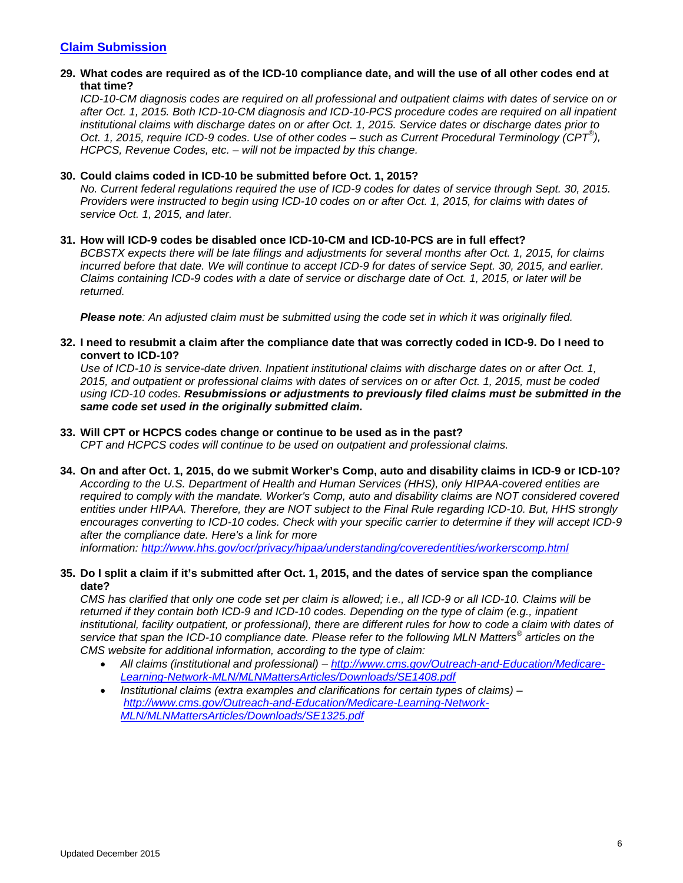# <span id="page-5-0"></span>**Claim Submission**

### **29. What codes are required as of the ICD-10 compliance date, and will the use of all other codes end at that time?**

*ICD-10-CM diagnosis codes are required on all professional and outpatient claims with dates of service on or after Oct. 1, 2015. Both ICD-10-CM diagnosis and ICD-10-PCS procedure codes are required on all inpatient institutional claims with discharge dates on or after Oct. 1, 2015. Service dates or discharge dates prior to Oct. 1, 2015, require ICD-9 codes. Use of other codes – such as Current Procedural Terminology (CPT® ), HCPCS, Revenue Codes, etc. – will not be impacted by this change.*

### **30. Could claims coded in ICD-10 be submitted before Oct. 1, 2015?**

*No. Current federal regulations required the use of ICD-9 codes for dates of service through Sept. 30, 2015. Providers were instructed to begin using ICD-10 codes on or after Oct. 1, 2015, for claims with dates of service Oct. 1, 2015, and later.* 

### **31. How will ICD-9 codes be disabled once ICD-10-CM and ICD-10-PCS are in full effect?**

*BCBSTX expects there will be late filings and adjustments for several months after Oct. 1, 2015, for claims incurred before that date. We will continue to accept ICD-9 for dates of service Sept. 30, 2015, and earlier. Claims containing ICD-9 codes with a date of service or discharge date of Oct. 1, 2015, or later will be returned.*

*Please note: An adjusted claim must be submitted using the code set in which it was originally filed.*

### **32. I need to resubmit a claim after the compliance date that was correctly coded in ICD-9. Do I need to convert to ICD-10?**

*Use of ICD-10 is service-date driven. Inpatient institutional claims with discharge dates on or after Oct. 1, 2015, and outpatient or professional claims with dates of services on or after Oct. 1, 2015, must be coded using ICD-10 codes. Resubmissions or adjustments to previously filed claims must be submitted in the same code set used in the originally submitted claim.*

### **33. Will CPT or HCPCS codes change or continue to be used as in the past?**

*CPT and HCPCS codes will continue to be used on outpatient and professional claims.*

# **34. On and after Oct. 1, 2015, do we submit Worker's Comp, auto and disability claims in ICD-9 or ICD-10?** *According to the U.S. Department of Health and Human Services (HHS), only HIPAA-covered entities are required to comply with the mandate. Worker's Comp, auto and disability claims are NOT considered covered entities under HIPAA. Therefore, they are NOT subject to the Final Rule regarding ICD-10. But, HHS strongly encourages converting to ICD-10 codes. Check with your specific carrier to determine if they will accept ICD-9 after the compliance date. Here's a link for more*

*information: <http://www.hhs.gov/ocr/privacy/hipaa/understanding/coveredentities/workerscomp.html>*

# **35. Do I split a claim if it's submitted after Oct. 1, 2015, and the dates of service span the compliance date?**

*CMS has clarified that only one code set per claim is allowed; i.e., all ICD-9 or all ICD-10. Claims will be returned if they contain both ICD-9 and ICD-10 codes. Depending on the type of claim (e.g., inpatient institutional, facility outpatient, or professional), there are different rules for how to code a claim with dates of service that span the ICD-10 compliance date. Please refer to the following MLN Matters® articles on the CMS website for additional information, according to the type of claim:* 

- *All claims (institutional and professional) – [http://www.cms.gov/Outreach-and-Education/Medicare-](http://www.cms.gov/Outreach-and-Education/Medicare-Learning-Network-MLN/MLNMattersArticles/Downloads/SE1408.pdf)[Learning-Network-MLN/MLNMattersArticles/Downloads/SE1408.pdf](http://www.cms.gov/Outreach-and-Education/Medicare-Learning-Network-MLN/MLNMattersArticles/Downloads/SE1408.pdf)*
- *Institutional claims (extra examples and clarifications for certain types of claims) – [http://www.cms.gov/Outreach-and-Education/Medicare-Learning-Network-](http://www.cms.gov/Outreach-and-Education/Medicare-Learning-Network-MLN/MLNMattersArticles/Downloads/SE1325.pdf)[MLN/MLNMattersArticles/Downloads/SE1325.pdf](http://www.cms.gov/Outreach-and-Education/Medicare-Learning-Network-MLN/MLNMattersArticles/Downloads/SE1325.pdf)*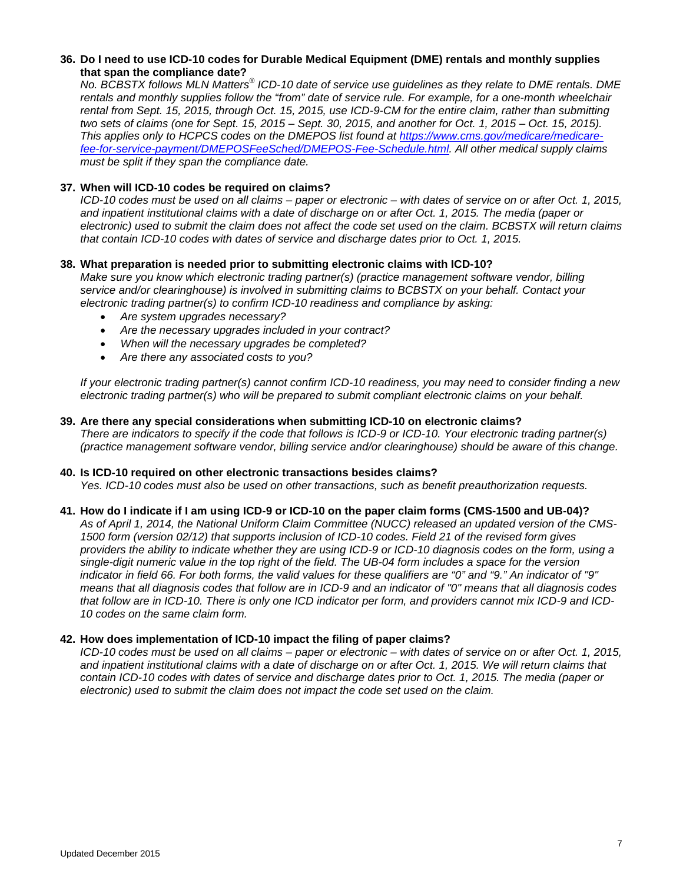### **36. Do I need to use ICD-10 codes for Durable Medical Equipment (DME) rentals and monthly supplies that span the compliance date?**

*No. BCBSTX follows MLN Matters® ICD-10 date of service use guidelines as they relate to DME rentals. DME rentals and monthly supplies follow the "from" date of service rule. For example, for a one-month wheelchair rental from Sept. 15, 2015, through Oct. 15, 2015, use ICD-9-CM for the entire claim, rather than submitting two sets of claims (one for Sept. 15, 2015 – Sept. 30, 2015, and another for Oct. 1, 2015 – Oct. 15, 2015). This applies only to HCPCS codes on the DMEPOS list found at [https://www.cms.gov/medicare/medicare](https://www.cms.gov/medicare/medicare-fee-for-service-payment/DMEPOSFeeSched/DMEPOS-Fee-Schedule.html)[fee-for-service-payment/DMEPOSFeeSched/DMEPOS-Fee-Schedule.html.](https://www.cms.gov/medicare/medicare-fee-for-service-payment/DMEPOSFeeSched/DMEPOS-Fee-Schedule.html) All other medical supply claims must be split if they span the compliance date.* 

# **37. When will ICD-10 codes be required on claims?**

*ICD-10 codes must be used on all claims – paper or electronic – with dates of service on or after Oct. 1, 2015, and inpatient institutional claims with a date of discharge on or after Oct. 1, 2015. The media (paper or electronic) used to submit the claim does not affect the code set used on the claim. BCBSTX will return claims that contain ICD-10 codes with dates of service and discharge dates prior to Oct. 1, 2015.* 

# **38. What preparation is needed prior to submitting electronic claims with ICD-10?**

*Make sure you know which electronic trading partner(s) (practice management software vendor, billing service and/or clearinghouse) is involved in submitting claims to BCBSTX on your behalf. Contact your electronic trading partner(s) to confirm ICD-10 readiness and compliance by asking:*

- *Are system upgrades necessary?*
- *Are the necessary upgrades included in your contract?*
- *When will the necessary upgrades be completed?*
- *Are there any associated costs to you?*

*If your electronic trading partner(s) cannot confirm ICD-10 readiness, you may need to consider finding a new electronic trading partner(s) who will be prepared to submit compliant electronic claims on your behalf.* 

### **39. Are there any special considerations when submitting ICD-10 on electronic claims?**

*There are indicators to specify if the code that follows is ICD-9 or ICD-10. Your electronic trading partner(s) (practice management software vendor, billing service and/or clearinghouse) should be aware of this change.* 

### **40. Is ICD-10 required on other electronic transactions besides claims?**

*Yes. ICD-10 codes must also be used on other transactions, such as benefit preauthorization requests.*

### **41. How do I indicate if I am using ICD-9 or ICD-10 on the paper claim forms (CMS-1500 and UB-04)?**

*As of April 1, 2014, the National Uniform Claim Committee (NUCC) released an updated version of the CMS-1500 form (version 02/12) that supports inclusion of ICD-10 codes. Field 21 of the revised form gives providers the ability to indicate whether they are using ICD-9 or ICD-10 diagnosis codes on the form, using a single-digit numeric value in the top right of the field. The UB-04 form includes a space for the version indicator in field 66. For both forms, the valid values for these qualifiers are "0" and "9." An indicator of "9" means that all diagnosis codes that follow are in ICD-9 and an indicator of "0" means that all diagnosis codes that follow are in ICD-10. There is only one ICD indicator per form, and providers cannot mix ICD-9 and ICD-10 codes on the same claim form.* 

### **42. How does implementation of ICD-10 impact the filing of paper claims?**

*ICD-10 codes must be used on all claims – paper or electronic – with dates of service on or after Oct. 1, 2015, and inpatient institutional claims with a date of discharge on or after Oct. 1, 2015. We will return claims that contain ICD-10 codes with dates of service and discharge dates prior to Oct. 1, 2015. The media (paper or electronic) used to submit the claim does not impact the code set used on the claim.*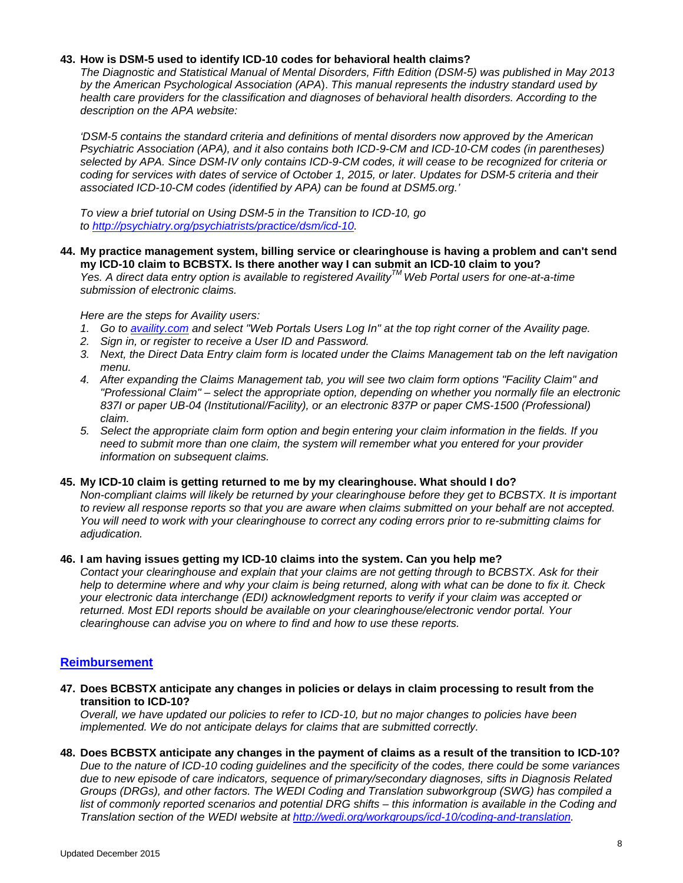### **43. How is DSM-5 used to identify ICD-10 codes for behavioral health claims?**

*The Diagnostic and Statistical Manual of Mental Disorders, Fifth Edition (DSM-5) was published in May 2013 by the American Psychological Association (APA*). *This manual represents the industry standard used by health care providers for the classification and diagnoses of behavioral health disorders. According to the description on the APA website:*

*'DSM-5 contains the standard criteria and definitions of mental disorders now approved by the American Psychiatric Association (APA), and it also contains both ICD-9-CM and ICD-10-CM codes (in parentheses) selected by APA. Since DSM-IV only contains ICD-9-CM codes, it will cease to be recognized for criteria or coding for services with dates of service of October 1, 2015, or later. Updates for DSM-5 criteria and their associated ICD-10-CM codes (identified by APA) can be found at DSM5.org.'*

*To view a brief tutorial on Using DSM-5 in the Transition to ICD-10, go to [http://psychiatry.org/psychiatrists/practice/dsm/icd-10.](http://psychiatry.org/psychiatrists/practice/dsm/icd-10)* 

### **44. My practice management system, billing service or clearinghouse is having a problem and can't send my ICD-10 claim to BCBSTX. Is there another way I can submit an ICD-10 claim to you?**

*Yes. A direct data entry option is available to registered AvailityTM Web Portal users for one-at-a-time submission of electronic claims.* 

### *Here are the steps for Availity users:*

- *1. Go to [availity.com](http://www.availity.com/) and select "Web Portals Users Log In" at the top right corner of the Availity page.*
- *2. Sign in, or register to receive a User ID and Password.*
- *3. Next, the Direct Data Entry claim form is located under the Claims Management tab on the left navigation menu.*
- *4. After expanding the Claims Management tab, you will see two claim form options "Facility Claim" and "Professional Claim" – select the appropriate option, depending on whether you normally file an electronic 837I or paper UB-04 (Institutional/Facility), or an electronic 837P or paper CMS-1500 (Professional) claim.*
- *5. Select the appropriate claim form option and begin entering your claim information in the fields. If you need to submit more than one claim, the system will remember what you entered for your provider information on subsequent claims.*

### **45. My ICD-10 claim is getting returned to me by my clearinghouse. What should I do?**

*Non-compliant claims will likely be returned by your clearinghouse before they get to BCBSTX. It is important to review all response reports so that you are aware when claims submitted on your behalf are not accepted. You will need to work with your clearinghouse to correct any coding errors prior to re-submitting claims for adjudication.*

### **46. I am having issues getting my ICD-10 claims into the system. Can you help me?**

*Contact your clearinghouse and explain that your claims are not getting through to BCBSTX. Ask for their help to determine where and why your claim is being returned, along with what can be done to fix it. Check your electronic data interchange (EDI) acknowledgment reports to verify if your claim was accepted or returned. Most EDI reports should be available on your clearinghouse/electronic vendor portal. Your clearinghouse can advise you on where to find and how to use these reports.*

### <span id="page-7-0"></span>**Reimbursement**

**47. Does BCBSTX anticipate any changes in policies or delays in claim processing to result from the transition to ICD-10?**

*Overall, we have updated our policies to refer to ICD-10, but no major changes to policies have been implemented. We do not anticipate delays for claims that are submitted correctly.* 

**48. Does BCBSTX anticipate any changes in the payment of claims as a result of the transition to ICD-10?** *Due to the nature of ICD-10 coding guidelines and the specificity of the codes, there could be some variances due to new episode of care indicators, sequence of primary/secondary diagnoses, sifts in Diagnosis Related Groups (DRGs), and other factors. The WEDI Coding and Translation subworkgroup (SWG) has compiled a list of commonly reported scenarios and potential DRG shifts – this information is available in the Coding and Translation section of the WEDI website at [http://wedi.org/workgroups/icd-10/coding-and-translation.](http://wedi.org/workgroups/icd-10/coding-and-translation)*